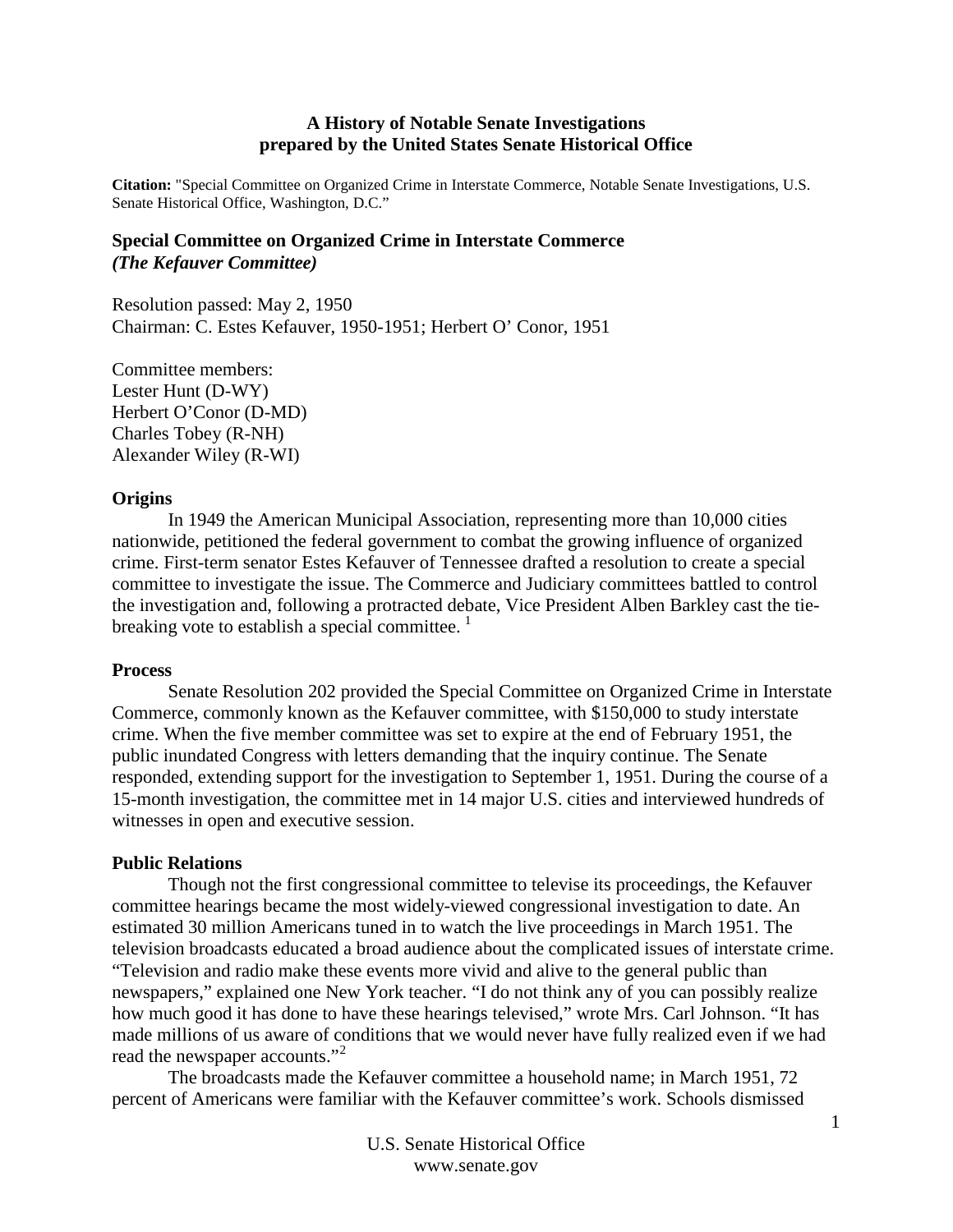# **A History of Notable Senate Investigations prepared by the United States Senate Historical Office**

**Citation:** "Special Committee on Organized Crime in Interstate Commerce, Notable Senate Investigations, U.S. Senate Historical Office, Washington, D.C."

# **Special Committee on Organized Crime in Interstate Commerce** *(The Kefauver Committee)*

Resolution passed: May 2, 1950 Chairman: C. Estes Kefauver, 1950-1951; Herbert O' Conor, 1951

Committee members: Lester Hunt (D-WY) Herbert O'Conor (D-MD) Charles Tobey (R-NH) Alexander Wiley (R-WI)

### **Origins**

In 1949 the American Municipal Association, representing more than 10,000 cities nationwide, petitioned the federal government to combat the growing influence of organized crime. First-term senator Estes Kefauver of Tennessee drafted a resolution to create a special committee to investigate the issue. The Commerce and Judiciary committees battled to control the investigation and, following a protracted debate, Vice President Alben Barkley cast the tiebreaking vote to establish a special committee.  $\frac{1}{1}$  $\frac{1}{1}$  $\frac{1}{1}$ 

### **Process**

Senate Resolution 202 provided the Special Committee on Organized Crime in Interstate Commerce, commonly known as the Kefauver committee, with \$150,000 to study interstate crime. When the five member committee was set to expire at the end of February 1951, the public inundated Congress with letters demanding that the inquiry continue. The Senate responded, extending support for the investigation to September 1, 1951. During the course of a 15-month investigation, the committee met in 14 major U.S. cities and interviewed hundreds of witnesses in open and executive session.

## **Public Relations**

Though not the first congressional committee to televise its proceedings, the Kefauver committee hearings became the most widely-viewed congressional investigation to date. An estimated 30 million Americans tuned in to watch the live proceedings in March 1951. The television broadcasts educated a broad audience about the complicated issues of interstate crime. "Television and radio make these events more vivid and alive to the general public than newspapers," explained one New York teacher. "I do not think any of you can possibly realize how much good it has done to have these hearings televised," wrote Mrs. Carl Johnson. "It has made millions of us aware of conditions that we would never have fully realized even if we had read the newspaper accounts."<sup>[2](#page-2-1)</sup>

The broadcasts made the Kefauver committee a household name; in March 1951, 72 percent of Americans were familiar with the Kefauver committee's work. Schools dismissed

1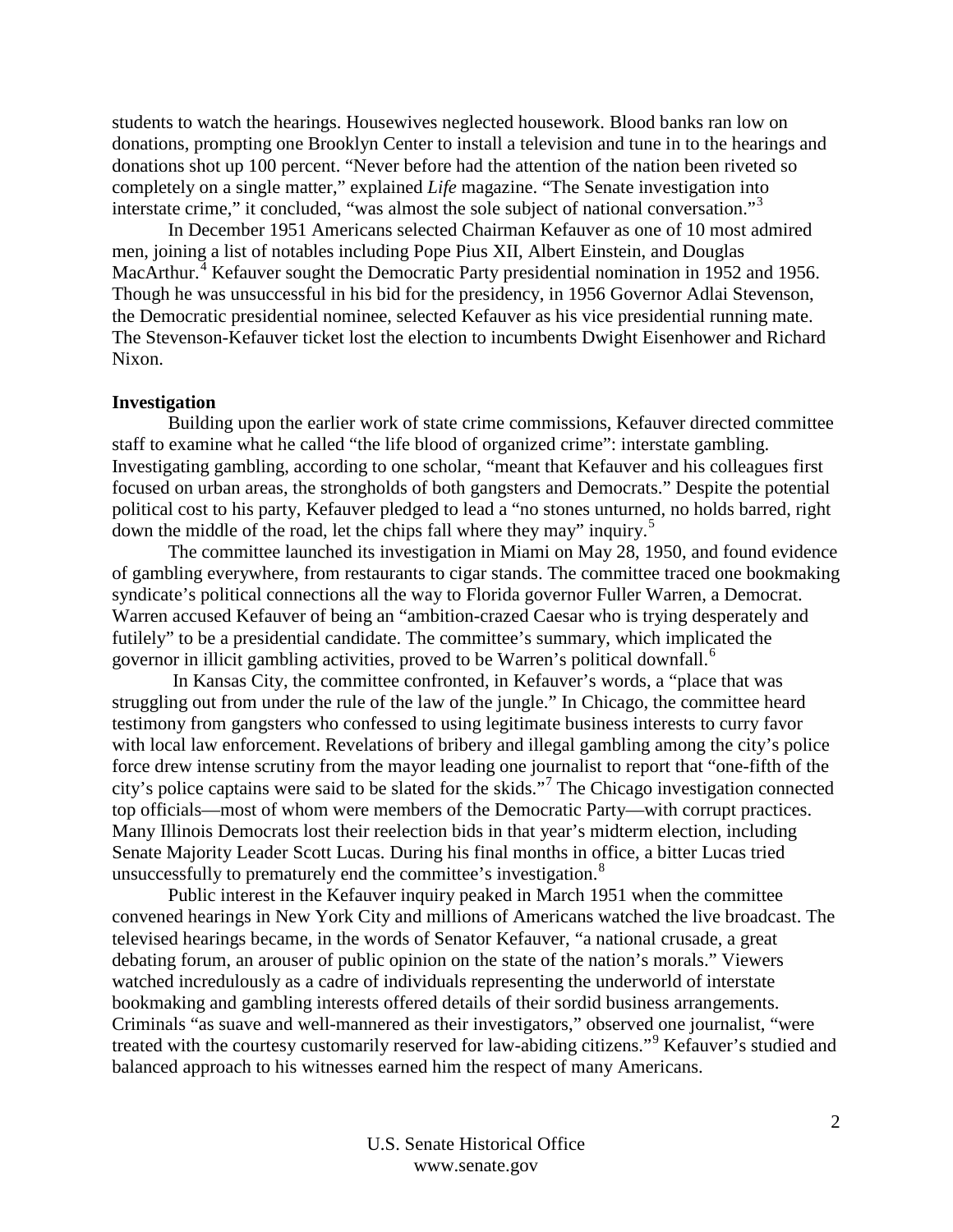students to watch the hearings. Housewives neglected housework. Blood banks ran low on donations, prompting one Brooklyn Center to install a television and tune in to the hearings and donations shot up 100 percent. "Never before had the attention of the nation been riveted so completely on a single matter," explained *Life* magazine. "The Senate investigation into interstate crime," it concluded, "was almost the sole subject of national conversation."<sup>[3](#page-2-2)</sup>

In December 1951 Americans selected Chairman Kefauver as one of 10 most admired men, joining a list of notables including Pope Pius XII, Albert Einstein, and Douglas MacArthur.<sup>[4](#page-2-3)</sup> Kefauver sought the Democratic Party presidential nomination in 1952 and 1956. Though he was unsuccessful in his bid for the presidency, in 1956 Governor Adlai Stevenson, the Democratic presidential nominee, selected Kefauver as his vice presidential running mate. The Stevenson-Kefauver ticket lost the election to incumbents Dwight Eisenhower and Richard Nixon.

## **Investigation**

Building upon the earlier work of state crime commissions, Kefauver directed committee staff to examine what he called "the life blood of organized crime": interstate gambling. Investigating gambling, according to one scholar, "meant that Kefauver and his colleagues first focused on urban areas, the strongholds of both gangsters and Democrats." Despite the potential political cost to his party, Kefauver pledged to lead a "no stones unturned, no holds barred, right down the middle of the road, let the chips fall where they may" inquiry.<sup>[5](#page-2-4)</sup>

The committee launched its investigation in Miami on May 28, 1950, and found evidence of gambling everywhere, from restaurants to cigar stands. The committee traced one bookmaking syndicate's political connections all the way to Florida governor Fuller Warren, a Democrat. Warren accused Kefauver of being an "ambition-crazed Caesar who is trying desperately and futilely" to be a presidential candidate. The committee's summary, which implicated the governor in illicit gambling activities, proved to be Warren's political downfall.<sup>[6](#page-2-5)</sup>

In Kansas City, the committee confronted, in Kefauver's words, a "place that was struggling out from under the rule of the law of the jungle." In Chicago, the committee heard testimony from gangsters who confessed to using legitimate business interests to curry favor with local law enforcement. Revelations of bribery and illegal gambling among the city's police force drew intense scrutiny from the mayor leading one journalist to report that "one-fifth of the city's police captains were said to be slated for the skids."[7](#page-3-0) The Chicago investigation connected top officials—most of whom were members of the Democratic Party—with corrupt practices. Many Illinois Democrats lost their reelection bids in that year's midterm election, including Senate Majority Leader Scott Lucas. During his final months in office, a bitter Lucas tried unsuccessfully to prematurely end the committee's investigation.<sup>[8](#page-3-1)</sup>

Public interest in the Kefauver inquiry peaked in March 1951 when the committee convened hearings in New York City and millions of Americans watched the live broadcast. The televised hearings became, in the words of Senator Kefauver, "a national crusade, a great debating forum, an arouser of public opinion on the state of the nation's morals." Viewers watched incredulously as a cadre of individuals representing the underworld of interstate bookmaking and gambling interests offered details of their sordid business arrangements. Criminals "as suave and well-mannered as their investigators," observed one journalist, "were treated with the courtesy customarily reserved for law-abiding citizens."[9](#page-3-2) Kefauver's studied and balanced approach to his witnesses earned him the respect of many Americans.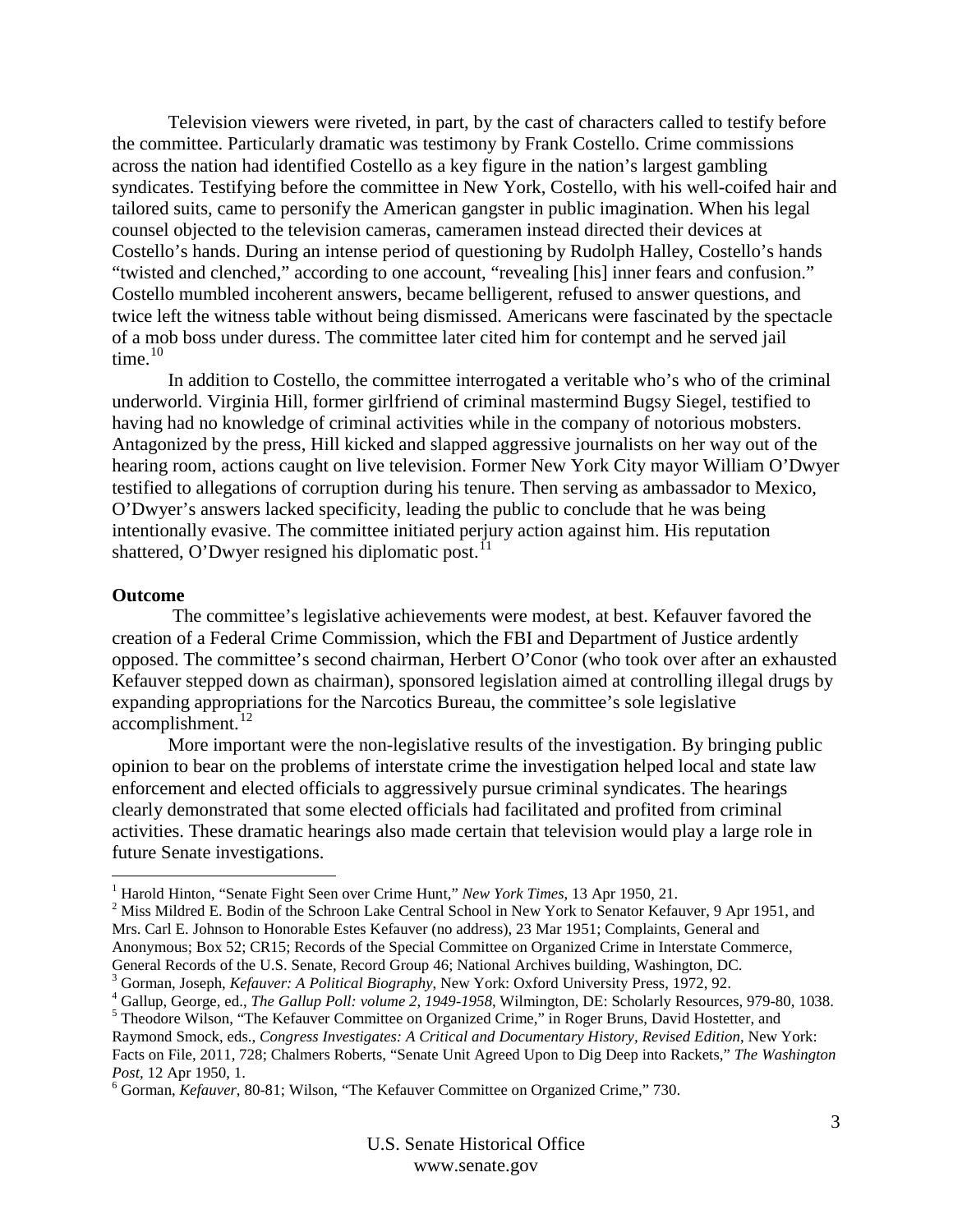Television viewers were riveted, in part, by the cast of characters called to testify before the committee. Particularly dramatic was testimony by Frank Costello. Crime commissions across the nation had identified Costello as a key figure in the nation's largest gambling syndicates. Testifying before the committee in New York, Costello, with his well-coifed hair and tailored suits, came to personify the American gangster in public imagination. When his legal counsel objected to the television cameras, cameramen instead directed their devices at Costello's hands. During an intense period of questioning by Rudolph Halley, Costello's hands "twisted and clenched," according to one account, "revealing [his] inner fears and confusion." Costello mumbled incoherent answers, became belligerent, refused to answer questions, and twice left the witness table without being dismissed. Americans were fascinated by the spectacle of a mob boss under duress. The committee later cited him for contempt and he served jail time.<sup>[10](#page-3-3)</sup>

In addition to Costello, the committee interrogated a veritable who's who of the criminal underworld. Virginia Hill, former girlfriend of criminal mastermind Bugsy Siegel, testified to having had no knowledge of criminal activities while in the company of notorious mobsters. Antagonized by the press, Hill kicked and slapped aggressive journalists on her way out of the hearing room, actions caught on live television. Former New York City mayor William O'Dwyer testified to allegations of corruption during his tenure. Then serving as ambassador to Mexico, O'Dwyer's answers lacked specificity, leading the public to conclude that he was being intentionally evasive. The committee initiated perjury action against him. His reputation shattered, O'Dwyer resigned his diplomatic post.<sup>[11](#page-3-4)</sup>

#### **Outcome**

The committee's legislative achievements were modest, at best. Kefauver favored the creation of a Federal Crime Commission, which the FBI and Department of Justice ardently opposed. The committee's second chairman, Herbert O'Conor (who took over after an exhausted Kefauver stepped down as chairman), sponsored legislation aimed at controlling illegal drugs by expanding appropriations for the Narcotics Bureau, the committee's sole legislative accomplishment.<sup>[12](#page-3-5)</sup>

More important were the non-legislative results of the investigation. By bringing public opinion to bear on the problems of interstate crime the investigation helped local and state law enforcement and elected officials to aggressively pursue criminal syndicates. The hearings clearly demonstrated that some elected officials had facilitated and profited from criminal activities. These dramatic hearings also made certain that television would play a large role in future Senate investigations.

<span id="page-2-1"></span><span id="page-2-0"></span><sup>&</sup>lt;sup>1</sup> Harold Hinton, "Senate Fight Seen over Crime Hunt," *New York Times*, 13 Apr 1950, 21.<br><sup>2</sup> Miss Mildred E. Bodin of the Schroon Lake Central School in New York to Senator Kefauver, 9 Apr 1951, and Mrs. Carl E. Johnson to Honorable Estes Kefauver (no address), 23 Mar 1951; Complaints, General and Anonymous; Box 52; CR15; Records of the Special Committee on Organized Crime in Interstate Commerce,

General Records of the U.S. Senate, Record Group 46; National Archives building, Washington, DC.

<span id="page-2-4"></span><span id="page-2-3"></span>

<span id="page-2-2"></span><sup>&</sup>lt;sup>3</sup> Gorman, Joseph, *Kefauver: A Political Biography*, New York: Oxford University Press, 1972, 92.<br><sup>4</sup> Gallup, George, ed., *The Gallup Poll: volume 2, 1949-1958*, Wilmington, DE: Scholarly Resources, 979-80, 1038.<br><sup>5</sup> T Raymond Smock, eds., *Congress Investigates: A Critical and Documentary History, Revised Edition*, New York: Facts on File, 2011, 728; Chalmers Roberts, "Senate Unit Agreed Upon to Dig Deep into Rackets," *The Washington Post*, 12 Apr 1950, 1.<br><sup>6</sup> Gorman, *Kefauver*, 80-81; Wilson, "The Kefauver Committee on Organized Crime," 730.

<span id="page-2-5"></span>